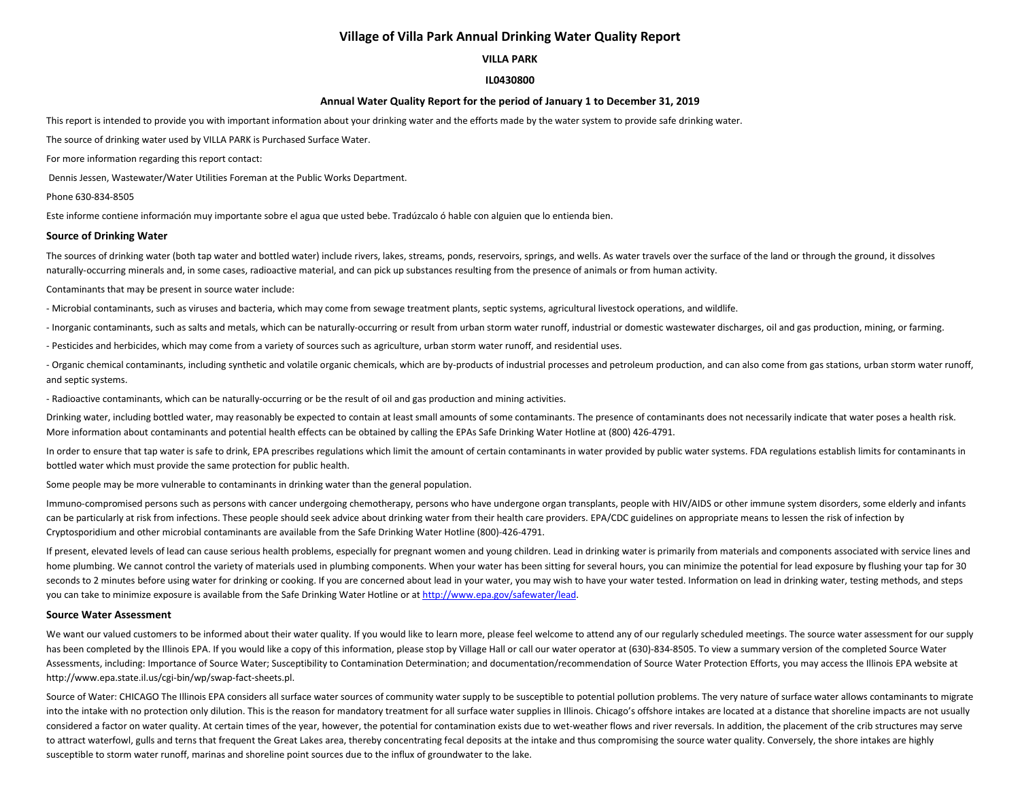# **Village of Villa Park Annual Drinking Water Quality Report**

# **VILLA PARK**

## **IL0430800**

### **Annual Water Quality Report for the period of January 1 to December 31, 2019**

This report is intended to provide you with important information about your drinking water and the efforts made by the water system to provide safe drinking water.

The source of drinking water used by VILLA PARK is Purchased Surface Water.

For more information regarding this report contact:

Dennis Jessen, Wastewater/Water Utilities Foreman at the Public Works Department.

Phone 630-834-8505

Este informe contiene información muy importante sobre el agua que usted bebe. Tradúzcalo ó hable con alguien que lo entienda bien.

#### **Source of Drinking Water**

The sources of drinking water (both tap water and bottled water) include rivers, lakes, streams, ponds, reservoirs, springs, and wells. As water travels over the surface of the land or through the ground, it dissolves naturally-occurring minerals and, in some cases, radioactive material, and can pick up substances resulting from the presence of animals or from human activity.

#### Contaminants that may be present in source water include:

- Microbial contaminants, such as viruses and bacteria, which may come from sewage treatment plants, septic systems, agricultural livestock operations, and wildlife.

- Inorganic contaminants, such as salts and metals, which can be naturally-occurring or result from urban storm water runoff, industrial or domestic wastewater discharges, oil and gas production, mining, or farming.

- Pesticides and herbicides, which may come from a variety of sources such as agriculture, urban storm water runoff, and residential uses.

- Organic chemical contaminants, including synthetic and volatile organic chemicals, which are by-products of industrial processes and petroleum production, and can also come from gas stations, urban storm water runoff, and septic systems.

- Radioactive contaminants, which can be naturally-occurring or be the result of oil and gas production and mining activities.

Drinking water, including bottled water, may reasonably be expected to contain at least small amounts of some contaminants. The presence of contaminants does not necessarily indicate that water poses a health risk. More information about contaminants and potential health effects can be obtained by calling the EPAs Safe Drinking Water Hotline at (800) 426-4791.

In order to ensure that tap water is safe to drink, EPA prescribes regulations which limit the amount of certain contaminants in water provided by public water systems. FDA regulations establish limits for contaminants in bottled water which must provide the same protection for public health.

Some people may be more vulnerable to contaminants in drinking water than the general population.

Immuno-compromised persons such as persons with cancer undergoing chemotherapy, persons who have undergone organ transplants, people with HIV/AIDS or other immune system disorders, some elderly and infants can be particularly at risk from infections. These people should seek advice about drinking water from their health care providers. EPA/CDC guidelines on appropriate means to lessen the risk of infection by Cryptosporidium and other microbial contaminants are available from the Safe Drinking Water Hotline (800)-426-4791.

If present, elevated levels of lead can cause serious health problems, especially for pregnant women and young children. Lead in drinking water is primarily from materials and components associated with service lines and home plumbing. We cannot control the variety of materials used in plumbing components. When your water has been sitting for several hours, you can minimize the potential for lead exposure by flushing your tap for 30 seconds to 2 minutes before using water for drinking or cooking. If you are concerned about lead in your water, you may wish to have your water tested. Information on lead in drinking water, testing methods, and steps you can take to minimize exposure is available from the Safe Drinking Water Hotline or at [http://www.epa.gov/safewater/lead.](http://www.epa.gov/safewater/lead)

#### **Source Water Assessment**

We want our valued customers to be informed about their water quality. If you would like to learn more, please feel welcome to attend any of our regularly scheduled meetings. The source water assessment for our supply has been completed by the Illinois EPA. If you would like a copy of this information, please stop by Village Hall or call our water operator at (630)-834-8505. To view a summary version of the completed Source Water Assessments, including: Importance of Source Water; Susceptibility to Contamination Determination; and documentation/recommendation of Source Water Protection Efforts, you may access the Illinois EPA website at http://www.epa.state.il.us/cgi-bin/wp/swap-fact-sheets.pl.

Source of Water: CHICAGO The Illinois EPA considers all surface water sources of community water supply to be susceptible to potential pollution problems. The very nature of surface water allows contaminants to migrate into the intake with no protection only dilution. This is the reason for mandatory treatment for all surface water supplies in Illinois. Chicago's offshore intakes are located at a distance that shoreline impacts are not u considered a factor on water quality. At certain times of the year, however, the potential for contamination exists due to wet-weather flows and river reversals. In addition, the placement of the crib structures may serve to attract waterfowl, gulls and terns that frequent the Great Lakes area, thereby concentrating fecal deposits at the intake and thus compromising the source water quality. Conversely, the shore intakes are highly susceptible to storm water runoff, marinas and shoreline point sources due to the influx of groundwater to the lake.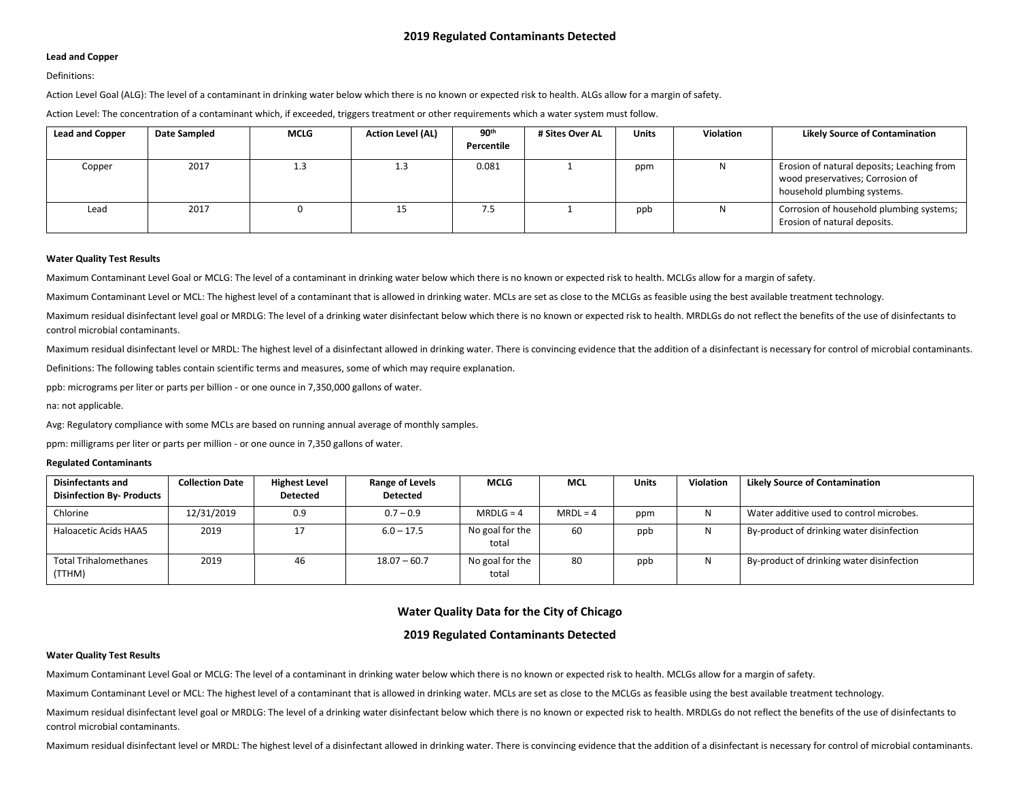## **Lead and Copper**

## Definitions:

Action Level Goal (ALG): The level of a contaminant in drinking water below which there is no known or expected risk to health. ALGs allow for a margin of safety.

Action Level: The concentration of a contaminant which, if exceeded, triggers treatment or other requirements which a water system must follow.

| <b>Lead and Copper</b> | <b>Date Sampled</b> | <b>MCLG</b> | <b>Action Level (AL)</b> | 90 <sup>th</sup> | # Sites Over AL | <b>Units</b> | <b>Violation</b> | <b>Likely Source of Contamination</b>                                                                         |
|------------------------|---------------------|-------------|--------------------------|------------------|-----------------|--------------|------------------|---------------------------------------------------------------------------------------------------------------|
|                        |                     |             |                          | Percentile       |                 |              |                  |                                                                                                               |
| Copper                 | 2017                | 1.3         | 1.3                      | 0.081            |                 | ppm          |                  | Erosion of natural deposits; Leaching from<br>wood preservatives; Corrosion of<br>household plumbing systems. |
| Lead                   | 2017                |             | 15                       | 7.5              |                 | ppb          |                  | Corrosion of household plumbing systems;<br>Erosion of natural deposits.                                      |

#### **Water Quality Test Results**

Maximum Contaminant Level Goal or MCLG: The level of a contaminant in drinking water below which there is no known or expected risk to health. MCLGs allow for a margin of safety.

Maximum Contaminant Level or MCL: The highest level of a contaminant that is allowed in drinking water. MCLs are set as close to the MCLGs as feasible using the best available treatment technology.

Maximum residual disinfectant level goal or MRDLG: The level of a drinking water disinfectant below which there is no known or expected risk to health. MRDLGs do not reflect the benefits of the use of disinfectants to control microbial contaminants.

Maximum residual disinfectant level or MRDL: The highest level of a disinfectant allowed in drinking water. There is convincing evidence that the addition of a disinfectant is necessary for control of microbial contaminant

Definitions: The following tables contain scientific terms and measures, some of which may require explanation.

ppb: micrograms per liter or parts per billion - or one ounce in 7,350,000 gallons of water.

na: not applicable.

Avg: Regulatory compliance with some MCLs are based on running annual average of monthly samples.

ppm: milligrams per liter or parts per million - or one ounce in 7,350 gallons of water.

### **Regulated Contaminants**

| <b>Disinfectants and</b><br><b>Disinfection By- Products</b> | <b>Collection Date</b> | <b>Highest Level</b><br><b>Detected</b> | <b>Range of Levels</b><br><b>Detected</b> | <b>MCLG</b>              | <b>MCL</b> | <b>Units</b> | Violation | <b>Likely Source of Contamination</b>     |
|--------------------------------------------------------------|------------------------|-----------------------------------------|-------------------------------------------|--------------------------|------------|--------------|-----------|-------------------------------------------|
| Chlorine                                                     | 12/31/2019             | 0.9                                     | $0.7 - 0.9$                               | $MRDLG = 4$              | $MRDL = 4$ | ppm          | N         | Water additive used to control microbes.  |
| Haloacetic Acids HAA5                                        | 2019                   | 17                                      | $6.0 - 17.5$                              | No goal for the<br>total | 60         | ppb          | N         | By-product of drinking water disinfection |
| <b>Total Trihalomethanes</b><br>(TTHM)                       | 2019                   | 46                                      | $18.07 - 60.7$                            | No goal for the<br>total | 80         | ppb          | N         | By-product of drinking water disinfection |

# **Water Quality Data for the City of Chicago**

# **2019 Regulated Contaminants Detected**

# **Water Quality Test Results**

Maximum Contaminant Level Goal or MCLG: The level of a contaminant in drinking water below which there is no known or expected risk to health. MCLGs allow for a margin of safety.

Maximum Contaminant Level or MCL: The highest level of a contaminant that is allowed in drinking water. MCLs are set as close to the MCLGs as feasible using the best available treatment technology.

Maximum residual disinfectant level goal or MRDLG: The level of a drinking water disinfectant below which there is no known or expected risk to health. MRDLGs do not reflect the benefits of the use of disinfectants to control microbial contaminants.

Maximum residual disinfectant level or MRDL: The highest level of a disinfectant allowed in drinking water. There is convincing evidence that the addition of a disinfectant is necessary for control of microbial contaminant